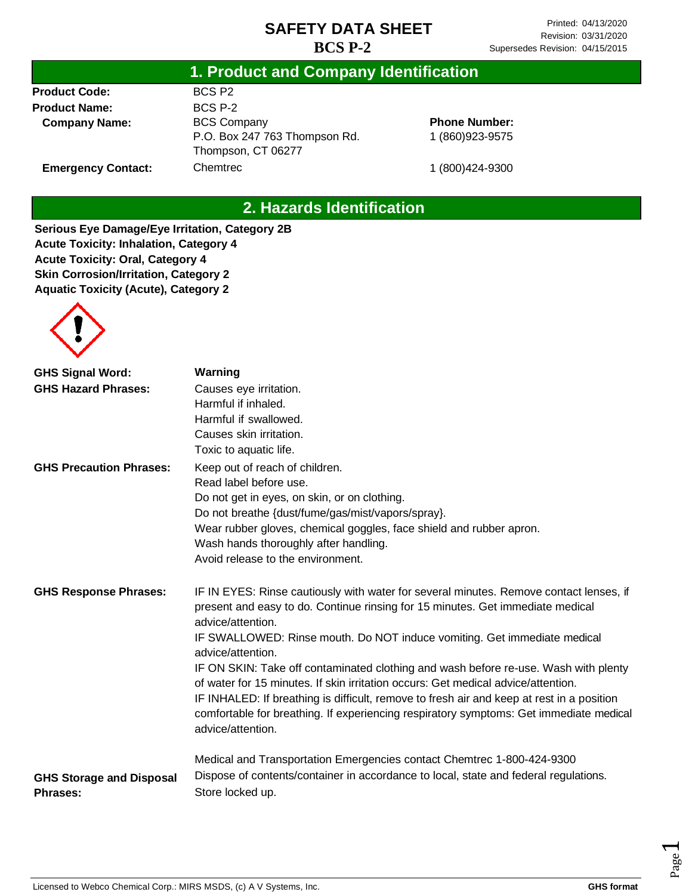#### **1. Product and Company Identification**

**Product Code: Product Name: Company Name:**

**Emergency Contact:**

BCS P2 BCS P-2 BCS Company P.O. Box 247 763 Thompson Rd. Thompson, CT 06277 Chemtrec

**Phone Number:** 1 (860)923-9575

1 (800)424-9300

# **2. Hazards Identification**

**Serious Eye Damage/Eye Irritation, Category 2B Acute Toxicity: Inhalation, Category 4 Acute Toxicity: Oral, Category 4 Skin Corrosion/Irritation, Category 2 Aquatic Toxicity (Acute), Category 2**



| <b>GHS Signal Word:</b>                            | Warning                                                                                                                                                                                                                                                                                                                                                                              |
|----------------------------------------------------|--------------------------------------------------------------------------------------------------------------------------------------------------------------------------------------------------------------------------------------------------------------------------------------------------------------------------------------------------------------------------------------|
| <b>GHS Hazard Phrases:</b>                         | Causes eye irritation.                                                                                                                                                                                                                                                                                                                                                               |
|                                                    | Harmful if inhaled.                                                                                                                                                                                                                                                                                                                                                                  |
|                                                    | Harmful if swallowed.                                                                                                                                                                                                                                                                                                                                                                |
|                                                    | Causes skin irritation.                                                                                                                                                                                                                                                                                                                                                              |
|                                                    | Toxic to aquatic life.                                                                                                                                                                                                                                                                                                                                                               |
| <b>GHS Precaution Phrases:</b>                     | Keep out of reach of children.                                                                                                                                                                                                                                                                                                                                                       |
|                                                    | Read label before use.                                                                                                                                                                                                                                                                                                                                                               |
|                                                    | Do not get in eyes, on skin, or on clothing.                                                                                                                                                                                                                                                                                                                                         |
|                                                    | Do not breathe {dust/fume/gas/mist/vapors/spray}.                                                                                                                                                                                                                                                                                                                                    |
|                                                    | Wear rubber gloves, chemical goggles, face shield and rubber apron.                                                                                                                                                                                                                                                                                                                  |
|                                                    | Wash hands thoroughly after handling.                                                                                                                                                                                                                                                                                                                                                |
|                                                    | Avoid release to the environment.                                                                                                                                                                                                                                                                                                                                                    |
| <b>GHS Response Phrases:</b>                       | IF IN EYES: Rinse cautiously with water for several minutes. Remove contact lenses, if<br>present and easy to do. Continue rinsing for 15 minutes. Get immediate medical<br>advice/attention.                                                                                                                                                                                        |
|                                                    | IF SWALLOWED: Rinse mouth. Do NOT induce vomiting. Get immediate medical<br>advice/attention.                                                                                                                                                                                                                                                                                        |
|                                                    | IF ON SKIN: Take off contaminated clothing and wash before re-use. Wash with plenty<br>of water for 15 minutes. If skin irritation occurs: Get medical advice/attention.<br>IF INHALED: If breathing is difficult, remove to fresh air and keep at rest in a position<br>comfortable for breathing. If experiencing respiratory symptoms: Get immediate medical<br>advice/attention. |
|                                                    | Medical and Transportation Emergencies contact Chemtrec 1-800-424-9300                                                                                                                                                                                                                                                                                                               |
| <b>GHS Storage and Disposal</b><br><b>Phrases:</b> | Dispose of contents/container in accordance to local, state and federal regulations.<br>Store locked up.                                                                                                                                                                                                                                                                             |

Page  $\overline{\phantom{0}}$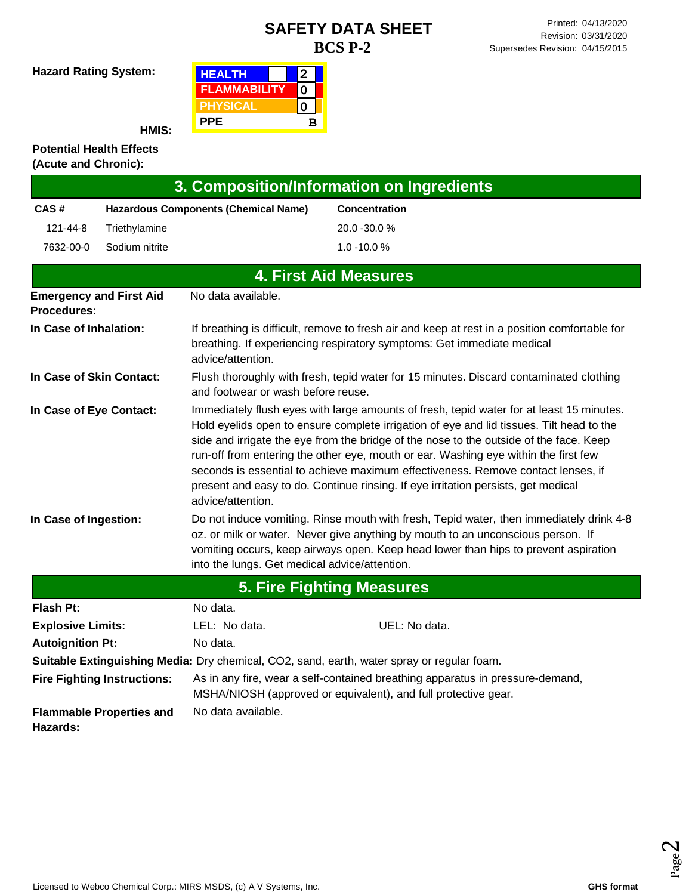**Hazard Rating System:**

| <b>HEALTH</b>       |   |  |
|---------------------|---|--|
| <b>FLAMMABILITY</b> |   |  |
| <b>PHYSICAL</b>     |   |  |
| <b>PPE</b>          | в |  |

**HMIS:**

#### **Potential Health Effects (Acute and Chronic):**

| 3. Composition/Information on Ingredients   |                                    |                                               |                                                                                                                                                                                                                                                                                                                                                                                                                                                                                                                                                |
|---------------------------------------------|------------------------------------|-----------------------------------------------|------------------------------------------------------------------------------------------------------------------------------------------------------------------------------------------------------------------------------------------------------------------------------------------------------------------------------------------------------------------------------------------------------------------------------------------------------------------------------------------------------------------------------------------------|
| CAS#                                        |                                    | <b>Hazardous Components (Chemical Name)</b>   | <b>Concentration</b>                                                                                                                                                                                                                                                                                                                                                                                                                                                                                                                           |
| 121-44-8                                    | Triethylamine                      |                                               | 20.0 -30.0 %                                                                                                                                                                                                                                                                                                                                                                                                                                                                                                                                   |
| 7632-00-0                                   | Sodium nitrite                     |                                               | $1.0 - 10.0 %$                                                                                                                                                                                                                                                                                                                                                                                                                                                                                                                                 |
|                                             |                                    |                                               | <b>4. First Aid Measures</b>                                                                                                                                                                                                                                                                                                                                                                                                                                                                                                                   |
| <b>Procedures:</b>                          | <b>Emergency and First Aid</b>     | No data available.                            |                                                                                                                                                                                                                                                                                                                                                                                                                                                                                                                                                |
| In Case of Inhalation:<br>advice/attention. |                                    |                                               | If breathing is difficult, remove to fresh air and keep at rest in a position comfortable for<br>breathing. If experiencing respiratory symptoms: Get immediate medical                                                                                                                                                                                                                                                                                                                                                                        |
| In Case of Skin Contact:                    |                                    | and footwear or wash before reuse.            | Flush thoroughly with fresh, tepid water for 15 minutes. Discard contaminated clothing                                                                                                                                                                                                                                                                                                                                                                                                                                                         |
| In Case of Eye Contact:                     |                                    | advice/attention.                             | Immediately flush eyes with large amounts of fresh, tepid water for at least 15 minutes.<br>Hold eyelids open to ensure complete irrigation of eye and lid tissues. Tilt head to the<br>side and irrigate the eye from the bridge of the nose to the outside of the face. Keep<br>run-off from entering the other eye, mouth or ear. Washing eye within the first few<br>seconds is essential to achieve maximum effectiveness. Remove contact lenses, if<br>present and easy to do. Continue rinsing. If eye irritation persists, get medical |
| In Case of Ingestion:                       |                                    | into the lungs. Get medical advice/attention. | Do not induce vomiting. Rinse mouth with fresh, Tepid water, then immediately drink 4-8<br>oz. or milk or water. Never give anything by mouth to an unconscious person. If<br>vomiting occurs, keep airways open. Keep head lower than hips to prevent aspiration                                                                                                                                                                                                                                                                              |
|                                             |                                    |                                               | <b>5. Fire Fighting Measures</b>                                                                                                                                                                                                                                                                                                                                                                                                                                                                                                               |
| <b>Flash Pt:</b>                            |                                    | No data.                                      |                                                                                                                                                                                                                                                                                                                                                                                                                                                                                                                                                |
| <b>Explosive Limits:</b>                    |                                    | LEL: No data.                                 | UEL: No data.                                                                                                                                                                                                                                                                                                                                                                                                                                                                                                                                  |
| <b>Autoignition Pt:</b>                     |                                    | No data.                                      |                                                                                                                                                                                                                                                                                                                                                                                                                                                                                                                                                |
|                                             |                                    |                                               | Suitable Extinguishing Media: Dry chemical, CO2, sand, earth, water spray or regular foam.                                                                                                                                                                                                                                                                                                                                                                                                                                                     |
|                                             | <b>Fire Fighting Instructions:</b> |                                               | As in any fire, wear a self-contained breathing apparatus in pressure-demand,<br>MSHA/NIOSH (approved or equivalent), and full protective gear.                                                                                                                                                                                                                                                                                                                                                                                                |
| Hazards:                                    | <b>Flammable Properties and</b>    | No data available.                            |                                                                                                                                                                                                                                                                                                                                                                                                                                                                                                                                                |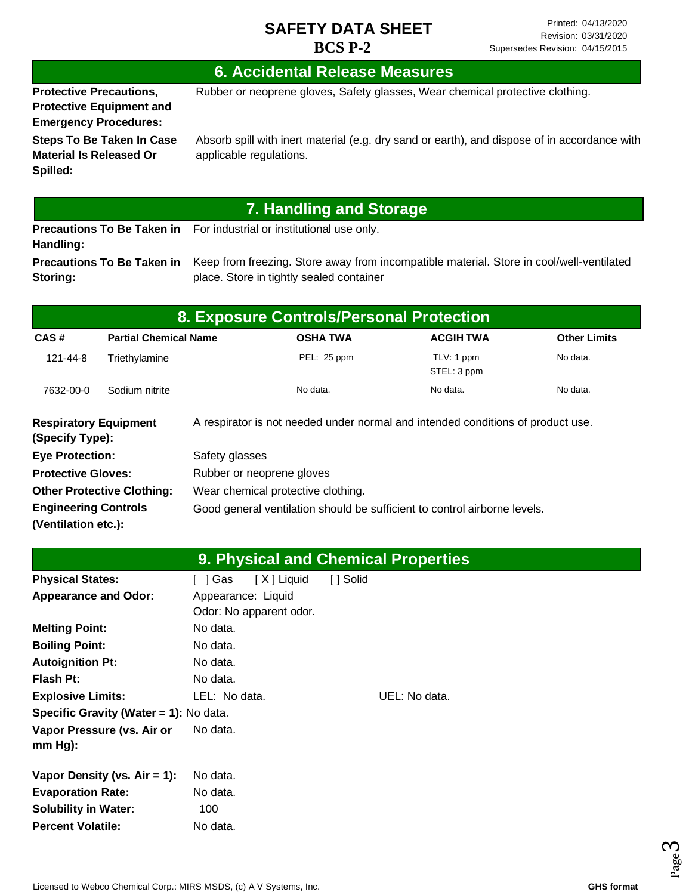### **6. Accidental Release Measures**

**Protective Precautions, Protective Equipment and**  Rubber or neoprene gloves, Safety glasses, Wear chemical protective clothing.

**Emergency Procedures: Steps To Be Taken In Case Material Is Released Or Spilled:**

Absorb spill with inert material (e.g. dry sand or earth), and dispose of in accordance with applicable regulations.

# **7. Handling and Storage**

**Precautions To Be Taken in**  For industrial or institutional use only. **Handling: Precautions To Be Taken in** 

**Storing:**

Keep from freezing. Store away from incompatible material. Store in cool/well-ventilated place. Store in tightly sealed container

| 8. Exposure Controls/Personal Protection                                |                              |                |                                                                                 |                           |                     |  |  |
|-------------------------------------------------------------------------|------------------------------|----------------|---------------------------------------------------------------------------------|---------------------------|---------------------|--|--|
| CAS#                                                                    | <b>Partial Chemical Name</b> |                | <b>OSHA TWA</b>                                                                 | <b>ACGIH TWA</b>          | <b>Other Limits</b> |  |  |
| 121-44-8                                                                | Triethylamine                |                | PEL: 25 ppm                                                                     | TLV: 1 ppm<br>STEL: 3 ppm | No data.            |  |  |
| 7632-00-0                                                               | Sodium nitrite               |                | No data.                                                                        | No data.                  | No data.            |  |  |
| <b>Respiratory Equipment</b><br>(Specify Type):                         |                              |                | A respirator is not needed under normal and intended conditions of product use. |                           |                     |  |  |
| <b>Eye Protection:</b>                                                  |                              | Safety glasses |                                                                                 |                           |                     |  |  |
| <b>Protective Gloves:</b>                                               |                              |                | Rubber or neoprene gloves                                                       |                           |                     |  |  |
| <b>Other Protective Clothing:</b><br>Wear chemical protective clothing. |                              |                |                                                                                 |                           |                     |  |  |
| <b>Engineering Controls</b>                                             |                              |                | Good general ventilation should be sufficient to control airborne levels.       |                           |                     |  |  |
| (Ventilation etc.):                                                     |                              |                |                                                                                 |                           |                     |  |  |

|                                        |                         | <b>9. Physical and Chemical Properties</b> |
|----------------------------------------|-------------------------|--------------------------------------------|
| <b>Physical States:</b>                | [X] Liquid<br>[ ] Gas   | [ ] Solid                                  |
| <b>Appearance and Odor:</b>            | Appearance: Liquid      |                                            |
|                                        | Odor: No apparent odor. |                                            |
| <b>Melting Point:</b>                  | No data.                |                                            |
| <b>Boiling Point:</b>                  | No data.                |                                            |
| <b>Autoignition Pt:</b>                | No data.                |                                            |
| <b>Flash Pt:</b>                       | No data.                |                                            |
| <b>Explosive Limits:</b>               | LEL: No data.           | UEL: No data.                              |
| Specific Gravity (Water = 1): No data. |                         |                                            |
| Vapor Pressure (vs. Air or             | No data.                |                                            |
| $mm Hg$ :                              |                         |                                            |
| Vapor Density (vs. $Air = 1$ ):        | No data.                |                                            |
| <b>Evaporation Rate:</b>               | No data.                |                                            |
| <b>Solubility in Water:</b>            | 100                     |                                            |
| <b>Percent Volatile:</b>               | No data.                |                                            |



Page ო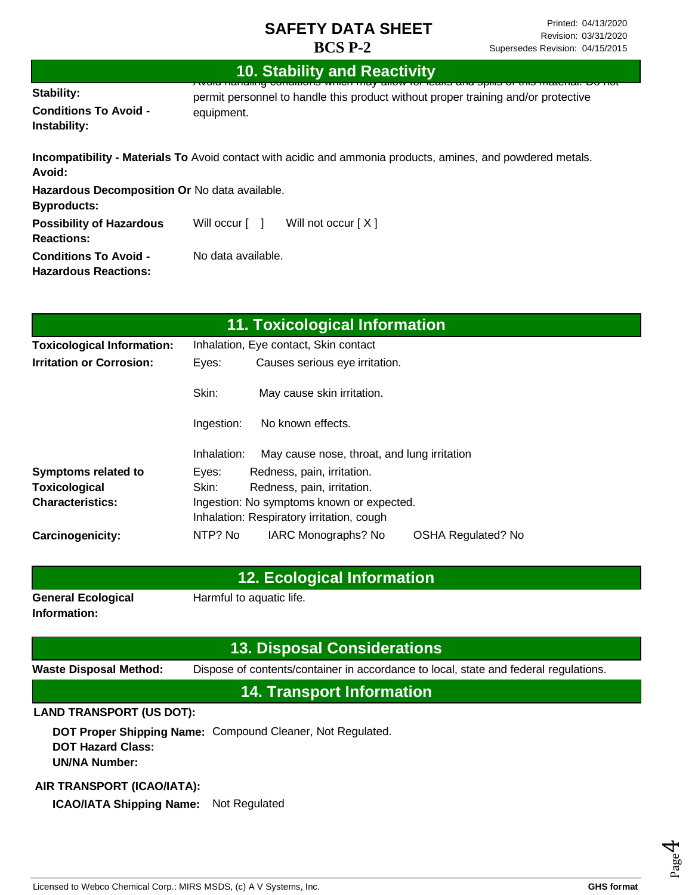#### **Stability: Conditions To Avoid - Instability: 10. Stability and Reactivity** Avoid handling conditions which may allow for leaks and spills of this material. Do not permit personnel to handle this product without proper training and/or protective equipment. **Incompatibility - Materials To** Avoid contact with acidic and ammonia products, amines, and powdered metals. **Avoid: Hazardous Decomposition Or** No data available. **Byproducts: Possibility of Hazardous Reactions: Conditions To Avoid -** Will occur [ ] Will not occur [ X ] No data available.

**Hazardous Reactions:**

| 11. Toxicological Information     |                                       |                                             |                           |  |
|-----------------------------------|---------------------------------------|---------------------------------------------|---------------------------|--|
| <b>Toxicological Information:</b> | Inhalation, Eye contact, Skin contact |                                             |                           |  |
| <b>Irritation or Corrosion:</b>   | Eyes:                                 | Causes serious eye irritation.              |                           |  |
|                                   | Skin:                                 | May cause skin irritation.                  |                           |  |
|                                   | Ingestion:                            | No known effects.                           |                           |  |
|                                   | Inhalation:                           | May cause nose, throat, and lung irritation |                           |  |
| <b>Symptoms related to</b>        | Eyes:                                 | Redness, pain, irritation.                  |                           |  |
| Toxicological                     | Skin:                                 | Redness, pain, irritation.                  |                           |  |
| <b>Characteristics:</b>           |                                       | Ingestion: No symptoms known or expected.   |                           |  |
|                                   |                                       | Inhalation: Respiratory irritation, cough   |                           |  |
| Carcinogenicity:                  | NTP? No                               | IARC Monographs? No                         | <b>OSHA Regulated? No</b> |  |

#### **12. Ecological Information**

**General Ecological Information:**

Harmful to aquatic life.

# **13. Disposal Considerations**

**Waste Disposal Method:** Dispose of contents/container in accordance to local, state and federal regulations.

**14. Transport Information**

#### **LAND TRANSPORT (US DOT):**

**DOT Proper Shipping Name:**  Compound Cleaner, Not Regulated. **DOT Hazard Class: UN/NA Number:**

#### **AIR TRANSPORT (ICAO/IATA):**

**ICAO/IATA Shipping Name:** Not Regulated

Page 4